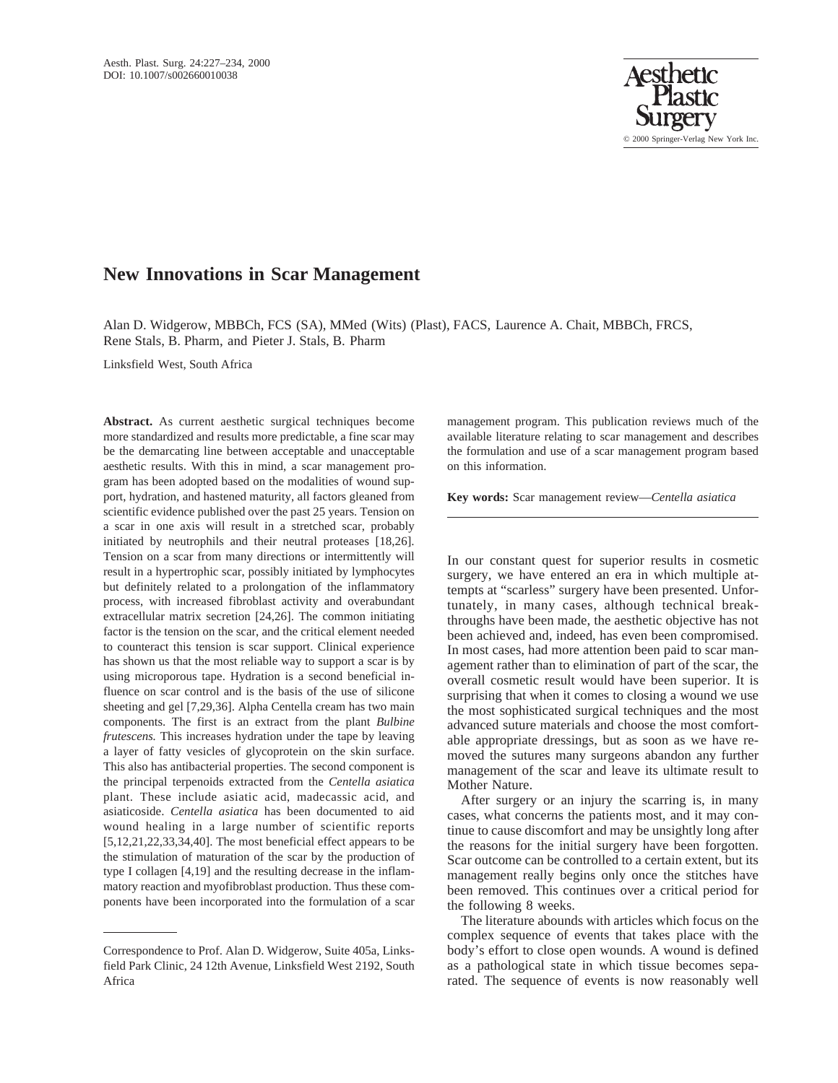

# **New Innovations in Scar Management**

Alan D. Widgerow, MBBCh, FCS (SA), MMed (Wits) (Plast), FACS, Laurence A. Chait, MBBCh, FRCS, Rene Stals, B. Pharm, and Pieter J. Stals, B. Pharm

Linksfield West, South Africa

**Abstract.** As current aesthetic surgical techniques become more standardized and results more predictable, a fine scar may be the demarcating line between acceptable and unacceptable aesthetic results. With this in mind, a scar management program has been adopted based on the modalities of wound support, hydration, and hastened maturity, all factors gleaned from scientific evidence published over the past 25 years. Tension on a scar in one axis will result in a stretched scar, probably initiated by neutrophils and their neutral proteases [18,26]. Tension on a scar from many directions or intermittently will result in a hypertrophic scar, possibly initiated by lymphocytes but definitely related to a prolongation of the inflammatory process, with increased fibroblast activity and overabundant extracellular matrix secretion [24,26]. The common initiating factor is the tension on the scar, and the critical element needed to counteract this tension is scar support. Clinical experience has shown us that the most reliable way to support a scar is by using microporous tape. Hydration is a second beneficial influence on scar control and is the basis of the use of silicone sheeting and gel [7,29,36]. Alpha Centella cream has two main components. The first is an extract from the plant *Bulbine frutescens.* This increases hydration under the tape by leaving a layer of fatty vesicles of glycoprotein on the skin surface. This also has antibacterial properties. The second component is the principal terpenoids extracted from the *Centella asiatica* plant. These include asiatic acid, madecassic acid, and asiaticoside. *Centella asiatica* has been documented to aid wound healing in a large number of scientific reports [5,12,21,22,33,34,40]. The most beneficial effect appears to be the stimulation of maturation of the scar by the production of type I collagen [4,19] and the resulting decrease in the inflammatory reaction and myofibroblast production. Thus these components have been incorporated into the formulation of a scar management program. This publication reviews much of the available literature relating to scar management and describes the formulation and use of a scar management program based on this information.

**Key words:** Scar management review—*Centella asiatica*

In our constant quest for superior results in cosmetic surgery, we have entered an era in which multiple attempts at "scarless" surgery have been presented. Unfortunately, in many cases, although technical breakthroughs have been made, the aesthetic objective has not been achieved and, indeed, has even been compromised. In most cases, had more attention been paid to scar management rather than to elimination of part of the scar, the overall cosmetic result would have been superior. It is surprising that when it comes to closing a wound we use the most sophisticated surgical techniques and the most advanced suture materials and choose the most comfortable appropriate dressings, but as soon as we have removed the sutures many surgeons abandon any further management of the scar and leave its ultimate result to Mother Nature.

After surgery or an injury the scarring is, in many cases, what concerns the patients most, and it may continue to cause discomfort and may be unsightly long after the reasons for the initial surgery have been forgotten. Scar outcome can be controlled to a certain extent, but its management really begins only once the stitches have been removed. This continues over a critical period for the following 8 weeks.

The literature abounds with articles which focus on the complex sequence of events that takes place with the body's effort to close open wounds. A wound is defined as a pathological state in which tissue becomes separated. The sequence of events is now reasonably well

Correspondence to Prof. Alan D. Widgerow, Suite 405a, Linksfield Park Clinic, 24 12th Avenue, Linksfield West 2192, South Africa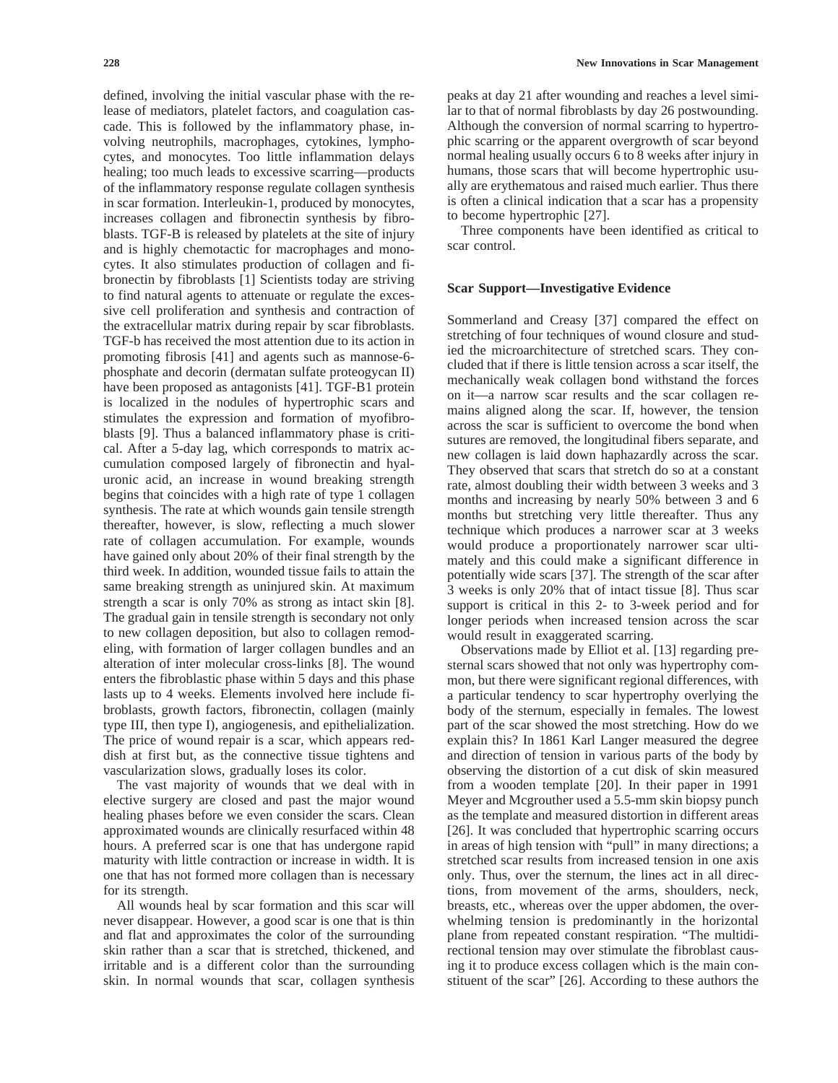defined, involving the initial vascular phase with the release of mediators, platelet factors, and coagulation cascade. This is followed by the inflammatory phase, involving neutrophils, macrophages, cytokines, lymphocytes, and monocytes. Too little inflammation delays healing; too much leads to excessive scarring—products of the inflammatory response regulate collagen synthesis in scar formation. Interleukin-1, produced by monocytes, increases collagen and fibronectin synthesis by fibroblasts. TGF-B is released by platelets at the site of injury and is highly chemotactic for macrophages and monocytes. It also stimulates production of collagen and fibronectin by fibroblasts [1] Scientists today are striving to find natural agents to attenuate or regulate the excessive cell proliferation and synthesis and contraction of the extracellular matrix during repair by scar fibroblasts. TGF-b has received the most attention due to its action in promoting fibrosis [41] and agents such as mannose-6 phosphate and decorin (dermatan sulfate proteogycan II) have been proposed as antagonists [41]. TGF-B1 protein is localized in the nodules of hypertrophic scars and stimulates the expression and formation of myofibroblasts [9]. Thus a balanced inflammatory phase is critical. After a 5-day lag, which corresponds to matrix accumulation composed largely of fibronectin and hyaluronic acid, an increase in wound breaking strength begins that coincides with a high rate of type 1 collagen synthesis. The rate at which wounds gain tensile strength thereafter, however, is slow, reflecting a much slower rate of collagen accumulation. For example, wounds have gained only about 20% of their final strength by the third week. In addition, wounded tissue fails to attain the same breaking strength as uninjured skin. At maximum strength a scar is only 70% as strong as intact skin [8]. The gradual gain in tensile strength is secondary not only to new collagen deposition, but also to collagen remodeling, with formation of larger collagen bundles and an alteration of inter molecular cross-links [8]. The wound enters the fibroblastic phase within 5 days and this phase lasts up to 4 weeks. Elements involved here include fibroblasts, growth factors, fibronectin, collagen (mainly type III, then type I), angiogenesis, and epithelialization. The price of wound repair is a scar, which appears reddish at first but, as the connective tissue tightens and vascularization slows, gradually loses its color.

The vast majority of wounds that we deal with in elective surgery are closed and past the major wound healing phases before we even consider the scars. Clean approximated wounds are clinically resurfaced within 48 hours. A preferred scar is one that has undergone rapid maturity with little contraction or increase in width. It is one that has not formed more collagen than is necessary for its strength.

All wounds heal by scar formation and this scar will never disappear. However, a good scar is one that is thin and flat and approximates the color of the surrounding skin rather than a scar that is stretched, thickened, and irritable and is a different color than the surrounding skin. In normal wounds that scar, collagen synthesis

peaks at day 21 after wounding and reaches a level similar to that of normal fibroblasts by day 26 postwounding. Although the conversion of normal scarring to hypertrophic scarring or the apparent overgrowth of scar beyond normal healing usually occurs 6 to 8 weeks after injury in humans, those scars that will become hypertrophic usually are erythematous and raised much earlier. Thus there is often a clinical indication that a scar has a propensity to become hypertrophic [27].

Three components have been identified as critical to scar control.

### **Scar Support—Investigative Evidence**

Sommerland and Creasy [37] compared the effect on stretching of four techniques of wound closure and studied the microarchitecture of stretched scars. They concluded that if there is little tension across a scar itself, the mechanically weak collagen bond withstand the forces on it—a narrow scar results and the scar collagen remains aligned along the scar. If, however, the tension across the scar is sufficient to overcome the bond when sutures are removed, the longitudinal fibers separate, and new collagen is laid down haphazardly across the scar. They observed that scars that stretch do so at a constant rate, almost doubling their width between 3 weeks and 3 months and increasing by nearly 50% between 3 and 6 months but stretching very little thereafter. Thus any technique which produces a narrower scar at 3 weeks would produce a proportionately narrower scar ultimately and this could make a significant difference in potentially wide scars [37]. The strength of the scar after 3 weeks is only 20% that of intact tissue [8]. Thus scar support is critical in this 2- to 3-week period and for longer periods when increased tension across the scar would result in exaggerated scarring.

Observations made by Elliot et al. [13] regarding presternal scars showed that not only was hypertrophy common, but there were significant regional differences, with a particular tendency to scar hypertrophy overlying the body of the sternum, especially in females. The lowest part of the scar showed the most stretching. How do we explain this? In 1861 Karl Langer measured the degree and direction of tension in various parts of the body by observing the distortion of a cut disk of skin measured from a wooden template [20]. In their paper in 1991 Meyer and Mcgrouther used a 5.5-mm skin biopsy punch as the template and measured distortion in different areas [26]. It was concluded that hypertrophic scarring occurs in areas of high tension with "pull" in many directions; a stretched scar results from increased tension in one axis only. Thus, over the sternum, the lines act in all directions, from movement of the arms, shoulders, neck, breasts, etc., whereas over the upper abdomen, the overwhelming tension is predominantly in the horizontal plane from repeated constant respiration. "The multidirectional tension may over stimulate the fibroblast causing it to produce excess collagen which is the main constituent of the scar" [26]. According to these authors the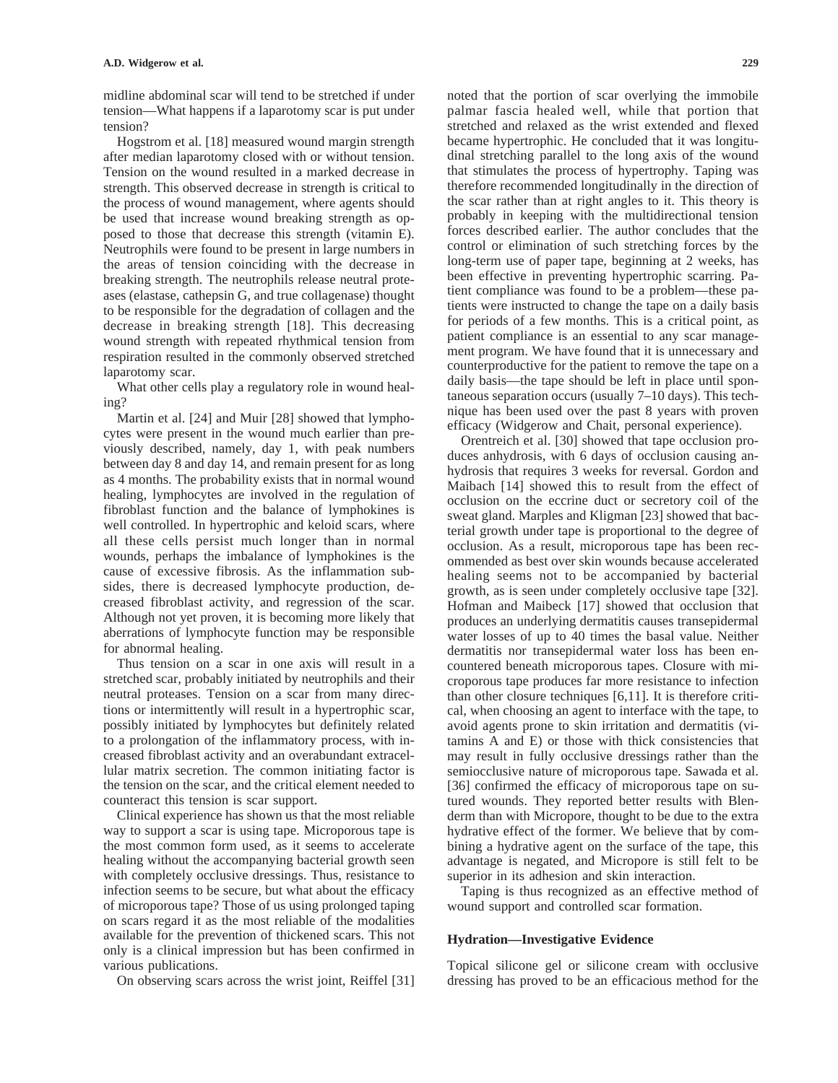midline abdominal scar will tend to be stretched if under tension—What happens if a laparotomy scar is put under tension?

Hogstrom et al. [18] measured wound margin strength after median laparotomy closed with or without tension. Tension on the wound resulted in a marked decrease in strength. This observed decrease in strength is critical to the process of wound management, where agents should be used that increase wound breaking strength as opposed to those that decrease this strength (vitamin E). Neutrophils were found to be present in large numbers in the areas of tension coinciding with the decrease in breaking strength. The neutrophils release neutral proteases (elastase, cathepsin G, and true collagenase) thought to be responsible for the degradation of collagen and the decrease in breaking strength [18]. This decreasing wound strength with repeated rhythmical tension from respiration resulted in the commonly observed stretched laparotomy scar.

What other cells play a regulatory role in wound healing?

Martin et al. [24] and Muir [28] showed that lymphocytes were present in the wound much earlier than previously described, namely, day 1, with peak numbers between day 8 and day 14, and remain present for as long as 4 months. The probability exists that in normal wound healing, lymphocytes are involved in the regulation of fibroblast function and the balance of lymphokines is well controlled. In hypertrophic and keloid scars, where all these cells persist much longer than in normal wounds, perhaps the imbalance of lymphokines is the cause of excessive fibrosis. As the inflammation subsides, there is decreased lymphocyte production, decreased fibroblast activity, and regression of the scar. Although not yet proven, it is becoming more likely that aberrations of lymphocyte function may be responsible for abnormal healing.

Thus tension on a scar in one axis will result in a stretched scar, probably initiated by neutrophils and their neutral proteases. Tension on a scar from many directions or intermittently will result in a hypertrophic scar, possibly initiated by lymphocytes but definitely related to a prolongation of the inflammatory process, with increased fibroblast activity and an overabundant extracellular matrix secretion. The common initiating factor is the tension on the scar, and the critical element needed to counteract this tension is scar support.

Clinical experience has shown us that the most reliable way to support a scar is using tape. Microporous tape is the most common form used, as it seems to accelerate healing without the accompanying bacterial growth seen with completely occlusive dressings. Thus, resistance to infection seems to be secure, but what about the efficacy of microporous tape? Those of us using prolonged taping on scars regard it as the most reliable of the modalities available for the prevention of thickened scars. This not only is a clinical impression but has been confirmed in various publications.

On observing scars across the wrist joint, Reiffel [31]

noted that the portion of scar overlying the immobile palmar fascia healed well, while that portion that stretched and relaxed as the wrist extended and flexed became hypertrophic. He concluded that it was longitudinal stretching parallel to the long axis of the wound that stimulates the process of hypertrophy. Taping was therefore recommended longitudinally in the direction of the scar rather than at right angles to it. This theory is probably in keeping with the multidirectional tension forces described earlier. The author concludes that the control or elimination of such stretching forces by the long-term use of paper tape, beginning at 2 weeks, has been effective in preventing hypertrophic scarring. Patient compliance was found to be a problem—these patients were instructed to change the tape on a daily basis for periods of a few months. This is a critical point, as patient compliance is an essential to any scar management program. We have found that it is unnecessary and counterproductive for the patient to remove the tape on a daily basis—the tape should be left in place until spontaneous separation occurs (usually 7–10 days). This technique has been used over the past 8 years with proven efficacy (Widgerow and Chait, personal experience).

Orentreich et al. [30] showed that tape occlusion produces anhydrosis, with 6 days of occlusion causing anhydrosis that requires 3 weeks for reversal. Gordon and Maibach [14] showed this to result from the effect of occlusion on the eccrine duct or secretory coil of the sweat gland. Marples and Kligman [23] showed that bacterial growth under tape is proportional to the degree of occlusion. As a result, microporous tape has been recommended as best over skin wounds because accelerated healing seems not to be accompanied by bacterial growth, as is seen under completely occlusive tape [32]. Hofman and Maibeck [17] showed that occlusion that produces an underlying dermatitis causes transepidermal water losses of up to 40 times the basal value. Neither dermatitis nor transepidermal water loss has been encountered beneath microporous tapes. Closure with microporous tape produces far more resistance to infection than other closure techniques [6,11]. It is therefore critical, when choosing an agent to interface with the tape, to avoid agents prone to skin irritation and dermatitis (vitamins A and E) or those with thick consistencies that may result in fully occlusive dressings rather than the semiocclusive nature of microporous tape. Sawada et al. [36] confirmed the efficacy of microporous tape on sutured wounds. They reported better results with Blenderm than with Micropore, thought to be due to the extra hydrative effect of the former. We believe that by combining a hydrative agent on the surface of the tape, this advantage is negated, and Micropore is still felt to be superior in its adhesion and skin interaction.

Taping is thus recognized as an effective method of wound support and controlled scar formation.

#### **Hydration—Investigative Evidence**

Topical silicone gel or silicone cream with occlusive dressing has proved to be an efficacious method for the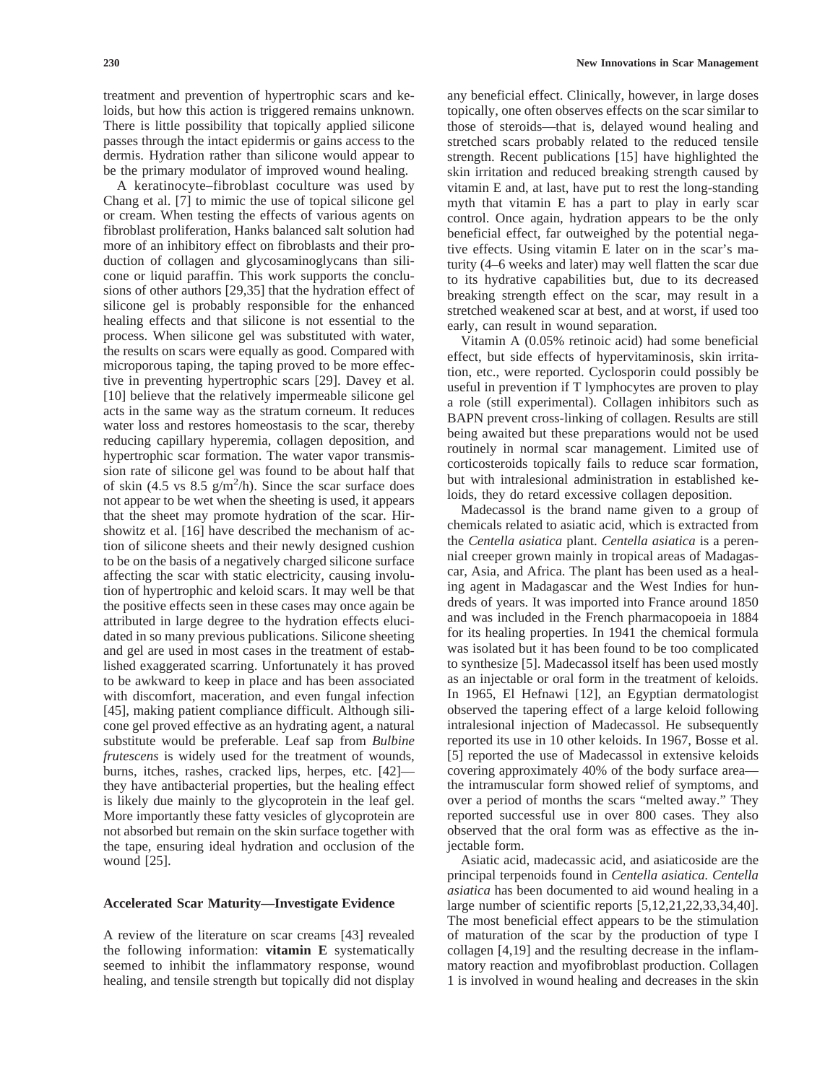treatment and prevention of hypertrophic scars and keloids, but how this action is triggered remains unknown. There is little possibility that topically applied silicone passes through the intact epidermis or gains access to the dermis. Hydration rather than silicone would appear to be the primary modulator of improved wound healing.

A keratinocyte–fibroblast coculture was used by Chang et al. [7] to mimic the use of topical silicone gel or cream. When testing the effects of various agents on fibroblast proliferation, Hanks balanced salt solution had more of an inhibitory effect on fibroblasts and their production of collagen and glycosaminoglycans than silicone or liquid paraffin. This work supports the conclusions of other authors [29,35] that the hydration effect of silicone gel is probably responsible for the enhanced healing effects and that silicone is not essential to the process. When silicone gel was substituted with water, the results on scars were equally as good. Compared with microporous taping, the taping proved to be more effective in preventing hypertrophic scars [29]. Davey et al. [10] believe that the relatively impermeable silicone gel acts in the same way as the stratum corneum. It reduces water loss and restores homeostasis to the scar, thereby reducing capillary hyperemia, collagen deposition, and hypertrophic scar formation. The water vapor transmission rate of silicone gel was found to be about half that of skin (4.5 vs 8.5  $g/m^2/h$ ). Since the scar surface does not appear to be wet when the sheeting is used, it appears that the sheet may promote hydration of the scar. Hirshowitz et al. [16] have described the mechanism of action of silicone sheets and their newly designed cushion to be on the basis of a negatively charged silicone surface affecting the scar with static electricity, causing involution of hypertrophic and keloid scars. It may well be that the positive effects seen in these cases may once again be attributed in large degree to the hydration effects elucidated in so many previous publications. Silicone sheeting and gel are used in most cases in the treatment of established exaggerated scarring. Unfortunately it has proved to be awkward to keep in place and has been associated with discomfort, maceration, and even fungal infection [45], making patient compliance difficult. Although silicone gel proved effective as an hydrating agent, a natural substitute would be preferable. Leaf sap from *Bulbine frutescens* is widely used for the treatment of wounds, burns, itches, rashes, cracked lips, herpes, etc. [42] they have antibacterial properties, but the healing effect is likely due mainly to the glycoprotein in the leaf gel. More importantly these fatty vesicles of glycoprotein are not absorbed but remain on the skin surface together with the tape, ensuring ideal hydration and occlusion of the wound [25].

### **Accelerated Scar Maturity—Investigate Evidence**

A review of the literature on scar creams [43] revealed the following information: **vitamin E** systematically seemed to inhibit the inflammatory response, wound healing, and tensile strength but topically did not display any beneficial effect. Clinically, however, in large doses topically, one often observes effects on the scar similar to those of steroids—that is, delayed wound healing and stretched scars probably related to the reduced tensile strength. Recent publications [15] have highlighted the skin irritation and reduced breaking strength caused by vitamin E and, at last, have put to rest the long-standing myth that vitamin E has a part to play in early scar control. Once again, hydration appears to be the only beneficial effect, far outweighed by the potential negative effects. Using vitamin E later on in the scar's maturity (4–6 weeks and later) may well flatten the scar due to its hydrative capabilities but, due to its decreased breaking strength effect on the scar, may result in a stretched weakened scar at best, and at worst, if used too early, can result in wound separation.

Vitamin A (0.05% retinoic acid) had some beneficial effect, but side effects of hypervitaminosis, skin irritation, etc., were reported. Cyclosporin could possibly be useful in prevention if T lymphocytes are proven to play a role (still experimental). Collagen inhibitors such as BAPN prevent cross-linking of collagen. Results are still being awaited but these preparations would not be used routinely in normal scar management. Limited use of corticosteroids topically fails to reduce scar formation, but with intralesional administration in established keloids, they do retard excessive collagen deposition.

Madecassol is the brand name given to a group of chemicals related to asiatic acid, which is extracted from the *Centella asiatica* plant. *Centella asiatica* is a perennial creeper grown mainly in tropical areas of Madagascar, Asia, and Africa. The plant has been used as a healing agent in Madagascar and the West Indies for hundreds of years. It was imported into France around 1850 and was included in the French pharmacopoeia in 1884 for its healing properties. In 1941 the chemical formula was isolated but it has been found to be too complicated to synthesize [5]. Madecassol itself has been used mostly as an injectable or oral form in the treatment of keloids. In 1965, El Hefnawi [12], an Egyptian dermatologist observed the tapering effect of a large keloid following intralesional injection of Madecassol. He subsequently reported its use in 10 other keloids. In 1967, Bosse et al. [5] reported the use of Madecassol in extensive keloids covering approximately 40% of the body surface area the intramuscular form showed relief of symptoms, and over a period of months the scars "melted away." They reported successful use in over 800 cases. They also observed that the oral form was as effective as the injectable form.

Asiatic acid, madecassic acid, and asiaticoside are the principal terpenoids found in *Centella asiatica. Centella asiatica* has been documented to aid wound healing in a large number of scientific reports [5,12,21,22,33,34,40]. The most beneficial effect appears to be the stimulation of maturation of the scar by the production of type I collagen [4,19] and the resulting decrease in the inflammatory reaction and myofibroblast production. Collagen 1 is involved in wound healing and decreases in the skin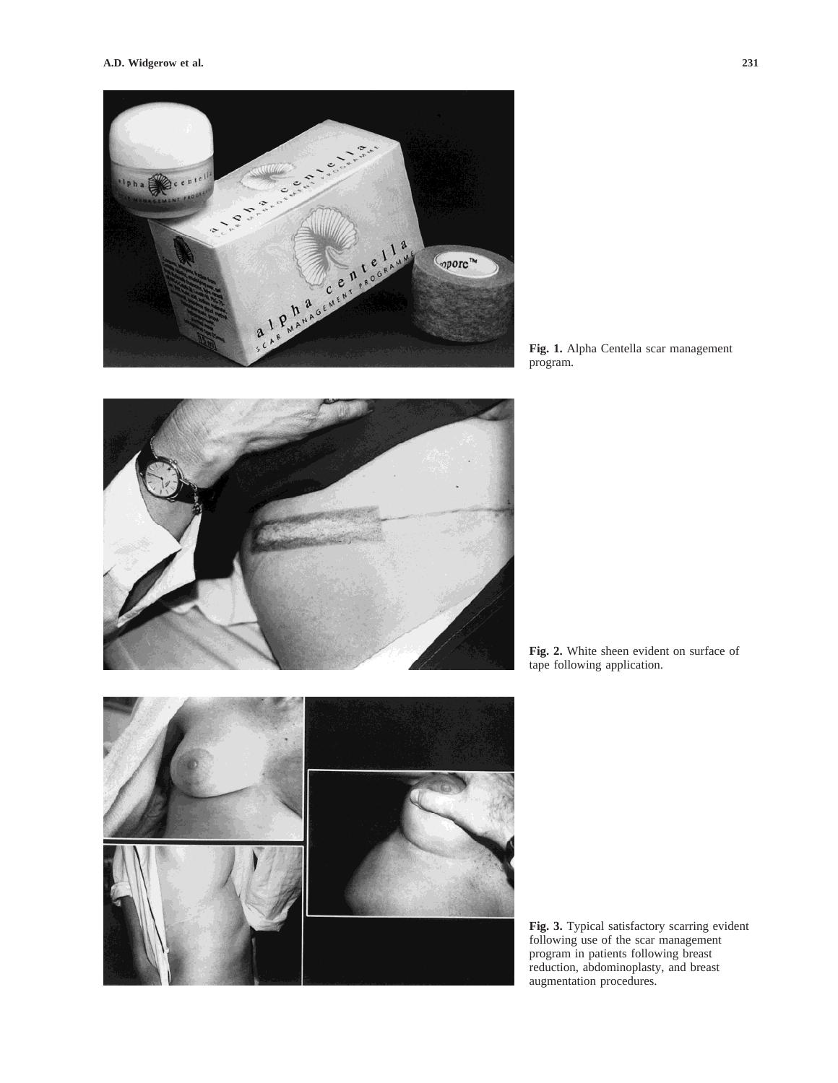

**Fig. 1.** Alpha Centella scar management program.



**Fig. 2.** White sheen evident on surface of tape following application.

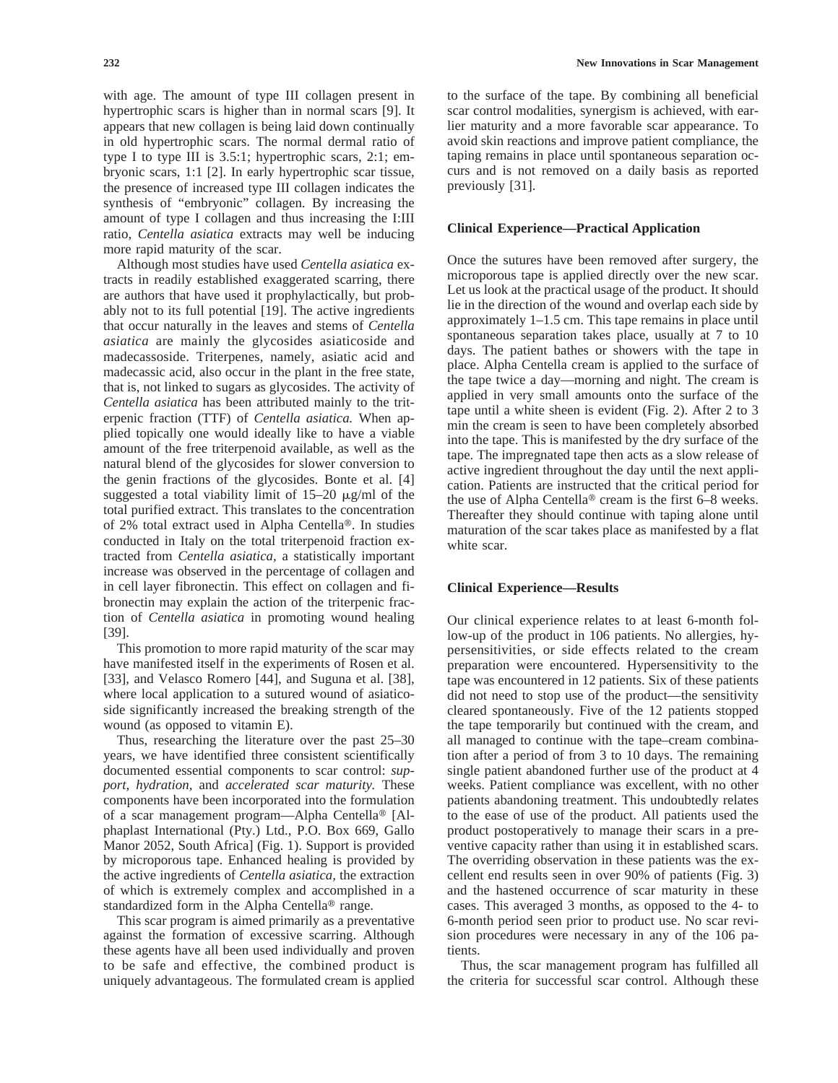with age. The amount of type III collagen present in hypertrophic scars is higher than in normal scars [9]. It appears that new collagen is being laid down continually in old hypertrophic scars. The normal dermal ratio of type I to type III is 3.5:1; hypertrophic scars, 2:1; embryonic scars, 1:1 [2]. In early hypertrophic scar tissue, the presence of increased type III collagen indicates the synthesis of "embryonic" collagen. By increasing the amount of type I collagen and thus increasing the I:III ratio, *Centella asiatica* extracts may well be inducing more rapid maturity of the scar.

Although most studies have used *Centella asiatica* extracts in readily established exaggerated scarring, there are authors that have used it prophylactically, but probably not to its full potential [19]. The active ingredients that occur naturally in the leaves and stems of *Centella asiatica* are mainly the glycosides asiaticoside and madecassoside. Triterpenes, namely, asiatic acid and madecassic acid, also occur in the plant in the free state, that is, not linked to sugars as glycosides. The activity of *Centella asiatica* has been attributed mainly to the triterpenic fraction (TTF) of *Centella asiatica.* When applied topically one would ideally like to have a viable amount of the free triterpenoid available, as well as the natural blend of the glycosides for slower conversion to the genin fractions of the glycosides. Bonte et al. [4] suggested a total viability limit of  $15-20 \mu g/ml$  of the total purified extract. This translates to the concentration of 2% total extract used in Alpha Centella®. In studies conducted in Italy on the total triterpenoid fraction extracted from *Centella asiatica,* a statistically important increase was observed in the percentage of collagen and in cell layer fibronectin. This effect on collagen and fibronectin may explain the action of the triterpenic fraction of *Centella asiatica* in promoting wound healing [39].

This promotion to more rapid maturity of the scar may have manifested itself in the experiments of Rosen et al. [33], and Velasco Romero [44], and Suguna et al. [38], where local application to a sutured wound of asiaticoside significantly increased the breaking strength of the wound (as opposed to vitamin E).

Thus, researching the literature over the past 25–30 years, we have identified three consistent scientifically documented essential components to scar control: *support, hydration,* and *accelerated scar maturity.* These components have been incorporated into the formulation of a scar management program—Alpha Centella<sup>®</sup> [Alphaplast International (Pty.) Ltd., P.O. Box 669, Gallo Manor 2052, South Africa] (Fig. 1). Support is provided by microporous tape. Enhanced healing is provided by the active ingredients of *Centella asiatica,* the extraction of which is extremely complex and accomplished in a standardized form in the Alpha Centella® range.

This scar program is aimed primarily as a preventative against the formation of excessive scarring. Although these agents have all been used individually and proven to be safe and effective, the combined product is uniquely advantageous. The formulated cream is applied

to the surface of the tape. By combining all beneficial scar control modalities, synergism is achieved, with earlier maturity and a more favorable scar appearance. To avoid skin reactions and improve patient compliance, the taping remains in place until spontaneous separation occurs and is not removed on a daily basis as reported previously [31].

### **Clinical Experience—Practical Application**

Once the sutures have been removed after surgery, the microporous tape is applied directly over the new scar. Let us look at the practical usage of the product. It should lie in the direction of the wound and overlap each side by approximately 1–1.5 cm. This tape remains in place until spontaneous separation takes place, usually at 7 to 10 days. The patient bathes or showers with the tape in place. Alpha Centella cream is applied to the surface of the tape twice a day—morning and night. The cream is applied in very small amounts onto the surface of the tape until a white sheen is evident (Fig. 2). After 2 to 3 min the cream is seen to have been completely absorbed into the tape. This is manifested by the dry surface of the tape. The impregnated tape then acts as a slow release of active ingredient throughout the day until the next application. Patients are instructed that the critical period for the use of Alpha Centella<sup>®</sup> cream is the first  $6-8$  weeks. Thereafter they should continue with taping alone until maturation of the scar takes place as manifested by a flat white scar.

## **Clinical Experience—Results**

Our clinical experience relates to at least 6-month follow-up of the product in 106 patients. No allergies, hypersensitivities, or side effects related to the cream preparation were encountered. Hypersensitivity to the tape was encountered in 12 patients. Six of these patients did not need to stop use of the product—the sensitivity cleared spontaneously. Five of the 12 patients stopped the tape temporarily but continued with the cream, and all managed to continue with the tape–cream combination after a period of from 3 to 10 days. The remaining single patient abandoned further use of the product at 4 weeks. Patient compliance was excellent, with no other patients abandoning treatment. This undoubtedly relates to the ease of use of the product. All patients used the product postoperatively to manage their scars in a preventive capacity rather than using it in established scars. The overriding observation in these patients was the excellent end results seen in over 90% of patients (Fig. 3) and the hastened occurrence of scar maturity in these cases. This averaged 3 months, as opposed to the 4- to 6-month period seen prior to product use. No scar revision procedures were necessary in any of the 106 patients.

Thus, the scar management program has fulfilled all the criteria for successful scar control. Although these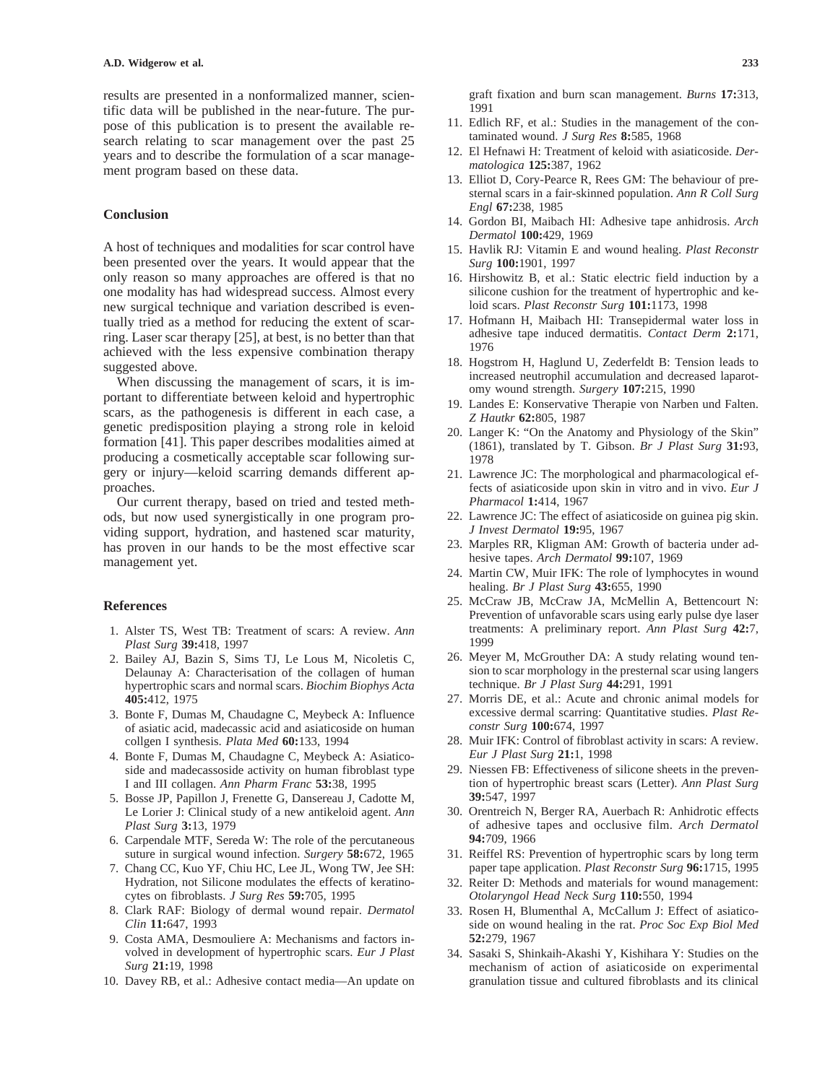results are presented in a nonformalized manner, scientific data will be published in the near-future. The purpose of this publication is to present the available research relating to scar management over the past 25 years and to describe the formulation of a scar management program based on these data.

### **Conclusion**

A host of techniques and modalities for scar control have been presented over the years. It would appear that the only reason so many approaches are offered is that no one modality has had widespread success. Almost every new surgical technique and variation described is eventually tried as a method for reducing the extent of scarring. Laser scar therapy [25], at best, is no better than that achieved with the less expensive combination therapy suggested above.

When discussing the management of scars, it is important to differentiate between keloid and hypertrophic scars, as the pathogenesis is different in each case, a genetic predisposition playing a strong role in keloid formation [41]. This paper describes modalities aimed at producing a cosmetically acceptable scar following surgery or injury—keloid scarring demands different approaches.

Our current therapy, based on tried and tested methods, but now used synergistically in one program providing support, hydration, and hastened scar maturity, has proven in our hands to be the most effective scar management yet.

#### **References**

- 1. Alster TS, West TB: Treatment of scars: A review. *Ann Plast Surg* **39:**418, 1997
- 2. Bailey AJ, Bazin S, Sims TJ, Le Lous M, Nicoletis C, Delaunay A: Characterisation of the collagen of human hypertrophic scars and normal scars. *Biochim Biophys Acta* **405:**412, 1975
- 3. Bonte F, Dumas M, Chaudagne C, Meybeck A: Influence of asiatic acid, madecassic acid and asiaticoside on human collgen I synthesis. *Plata Med* **60:**133, 1994
- 4. Bonte F, Dumas M, Chaudagne C, Meybeck A: Asiaticoside and madecassoside activity on human fibroblast type I and III collagen. *Ann Pharm Franc* **53:**38, 1995
- 5. Bosse JP, Papillon J, Frenette G, Dansereau J, Cadotte M, Le Lorier J: Clinical study of a new antikeloid agent. *Ann Plast Surg* **3:**13, 1979
- 6. Carpendale MTF, Sereda W: The role of the percutaneous suture in surgical wound infection. *Surgery* **58:**672, 1965
- 7. Chang CC, Kuo YF, Chiu HC, Lee JL, Wong TW, Jee SH: Hydration, not Silicone modulates the effects of keratinocytes on fibroblasts. *J Surg Res* **59:**705, 1995
- 8. Clark RAF: Biology of dermal wound repair. *Dermatol Clin* **11:**647, 1993
- 9. Costa AMA, Desmouliere A: Mechanisms and factors involved in development of hypertrophic scars. *Eur J Plast Surg* **21:**19, 1998
- 10. Davey RB, et al.: Adhesive contact media—An update on

graft fixation and burn scan management. *Burns* **17:**313, 1991

- 11. Edlich RF, et al.: Studies in the management of the contaminated wound. *J Surg Res* **8:**585, 1968
- 12. El Hefnawi H: Treatment of keloid with asiaticoside. *Dermatologica* **125:**387, 1962
- 13. Elliot D, Cory-Pearce R, Rees GM: The behaviour of presternal scars in a fair-skinned population. *Ann R Coll Surg Engl* **67:**238, 1985
- 14. Gordon BI, Maibach HI: Adhesive tape anhidrosis. *Arch Dermatol* **100:**429, 1969
- 15. Havlik RJ: Vitamin E and wound healing. *Plast Reconstr Surg* **100:**1901, 1997
- 16. Hirshowitz B, et al.: Static electric field induction by a silicone cushion for the treatment of hypertrophic and keloid scars. *Plast Reconstr Surg* **101:**1173, 1998
- 17. Hofmann H, Maibach HI: Transepidermal water loss in adhesive tape induced dermatitis. *Contact Derm* **2:**171, 1976
- 18. Hogstrom H, Haglund U, Zederfeldt B: Tension leads to increased neutrophil accumulation and decreased laparotomy wound strength. *Surgery* **107:**215, 1990
- 19. Landes E: Konservative Therapie von Narben und Falten. *Z Hautkr* **62:**805, 1987
- 20. Langer K: "On the Anatomy and Physiology of the Skin" (1861), translated by T. Gibson. *Br J Plast Surg* **31:**93, 1978
- 21. Lawrence JC: The morphological and pharmacological effects of asiaticoside upon skin in vitro and in vivo. *Eur J Pharmacol* **1:**414, 1967
- 22. Lawrence JC: The effect of asiaticoside on guinea pig skin. *J Invest Dermatol* **19:**95, 1967
- 23. Marples RR, Kligman AM: Growth of bacteria under adhesive tapes. *Arch Dermatol* **99:**107, 1969
- 24. Martin CW, Muir IFK: The role of lymphocytes in wound healing. *Br J Plast Surg* **43:**655, 1990
- 25. McCraw JB, McCraw JA, McMellin A, Bettencourt N: Prevention of unfavorable scars using early pulse dye laser treatments: A preliminary report. *Ann Plast Surg* **42:**7, 1999
- 26. Meyer M, McGrouther DA: A study relating wound tension to scar morphology in the presternal scar using langers technique. *Br J Plast Surg* **44:**291, 1991
- 27. Morris DE, et al.: Acute and chronic animal models for excessive dermal scarring: Quantitative studies. *Plast Reconstr Surg* **100:**674, 1997
- 28. Muir IFK: Control of fibroblast activity in scars: A review. *Eur J Plast Surg* **21:**1, 1998
- 29. Niessen FB: Effectiveness of silicone sheets in the prevention of hypertrophic breast scars (Letter). *Ann Plast Surg* **39:**547, 1997
- 30. Orentreich N, Berger RA, Auerbach R: Anhidrotic effects of adhesive tapes and occlusive film. *Arch Dermatol* **94:**709, 1966
- 31. Reiffel RS: Prevention of hypertrophic scars by long term paper tape application. *Plast Reconstr Surg* **96:**1715, 1995
- 32. Reiter D: Methods and materials for wound management: *Otolaryngol Head Neck Surg* **110:**550, 1994
- 33. Rosen H, Blumenthal A, McCallum J: Effect of asiaticoside on wound healing in the rat. *Proc Soc Exp Biol Med* **52:**279, 1967
- 34. Sasaki S, Shinkaih-Akashi Y, Kishihara Y: Studies on the mechanism of action of asiaticoside on experimental granulation tissue and cultured fibroblasts and its clinical